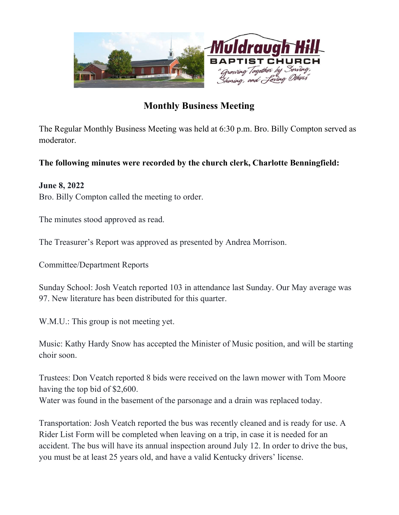

## Monthly Business Meeting

The Regular Monthly Business Meeting was held at 6:30 p.m. Bro. Billy Compton served as moderator.

## The following minutes were recorded by the church clerk, Charlotte Benningfield:

## June 8, 2022

Bro. Billy Compton called the meeting to order.

The minutes stood approved as read.

The Treasurer's Report was approved as presented by Andrea Morrison.

Committee/Department Reports

Sunday School: Josh Veatch reported 103 in attendance last Sunday. Our May average was 97. New literature has been distributed for this quarter.

W.M.U.: This group is not meeting yet.

Music: Kathy Hardy Snow has accepted the Minister of Music position, and will be starting choir soon.

Trustees: Don Veatch reported 8 bids were received on the lawn mower with Tom Moore having the top bid of \$2,600. Water was found in the basement of the parsonage and a drain was replaced today.

Transportation: Josh Veatch reported the bus was recently cleaned and is ready for use. A Rider List Form will be completed when leaving on a trip, in case it is needed for an accident. The bus will have its annual inspection around July 12. In order to drive the bus, you must be at least 25 years old, and have a valid Kentucky drivers' license.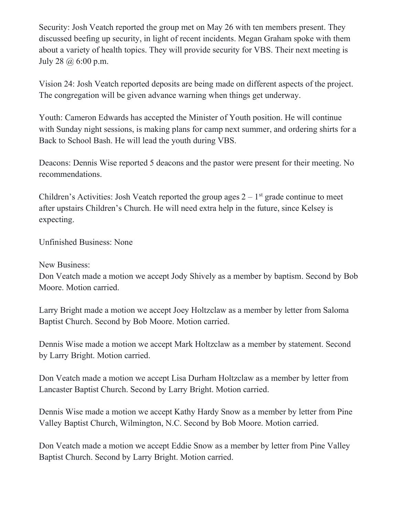Security: Josh Veatch reported the group met on May 26 with ten members present. They discussed beefing up security, in light of recent incidents. Megan Graham spoke with them about a variety of health topics. They will provide security for VBS. Their next meeting is July 28 @ 6:00 p.m.

Vision 24: Josh Veatch reported deposits are being made on different aspects of the project. The congregation will be given advance warning when things get underway.

Youth: Cameron Edwards has accepted the Minister of Youth position. He will continue with Sunday night sessions, is making plans for camp next summer, and ordering shirts for a Back to School Bash. He will lead the youth during VBS.

Deacons: Dennis Wise reported 5 deacons and the pastor were present for their meeting. No recommendations.

Children's Activities: Josh Veatch reported the group ages  $2 - 1$ <sup>st</sup> grade continue to meet after upstairs Children's Church. He will need extra help in the future, since Kelsey is expecting.

Unfinished Business: None

New Business:

Don Veatch made a motion we accept Jody Shively as a member by baptism. Second by Bob Moore. Motion carried.

Larry Bright made a motion we accept Joey Holtzclaw as a member by letter from Saloma Baptist Church. Second by Bob Moore. Motion carried.

Dennis Wise made a motion we accept Mark Holtzclaw as a member by statement. Second by Larry Bright. Motion carried.

Don Veatch made a motion we accept Lisa Durham Holtzclaw as a member by letter from Lancaster Baptist Church. Second by Larry Bright. Motion carried.

Dennis Wise made a motion we accept Kathy Hardy Snow as a member by letter from Pine Valley Baptist Church, Wilmington, N.C. Second by Bob Moore. Motion carried.

Don Veatch made a motion we accept Eddie Snow as a member by letter from Pine Valley Baptist Church. Second by Larry Bright. Motion carried.